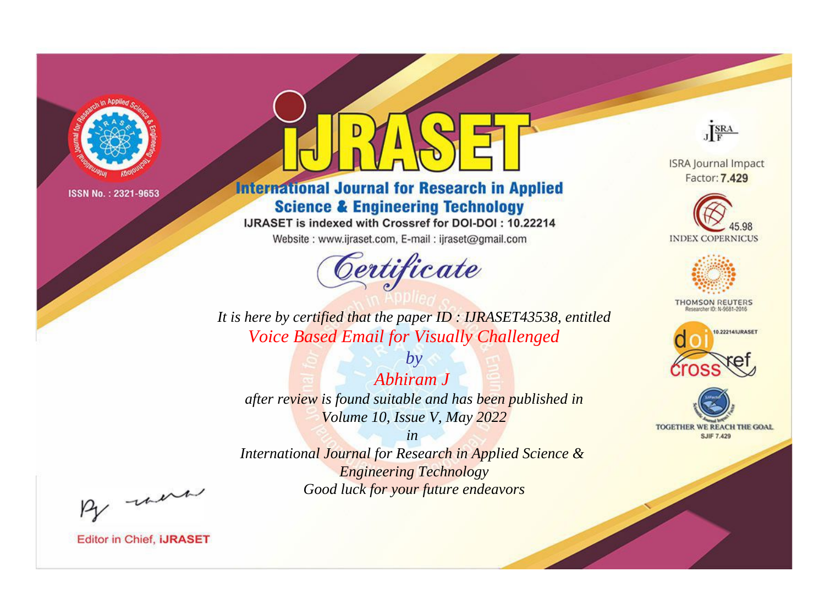

# **International Journal for Research in Applied Science & Engineering Technology**

IJRASET is indexed with Crossref for DOI-DOI: 10.22214

Website: www.ijraset.com, E-mail: ijraset@gmail.com



JERA

**ISRA Journal Impact** Factor: 7.429





**THOMSON REUTERS** 



TOGETHER WE REACH THE GOAL **SJIF 7.429** 

It is here by certified that the paper ID: IJRASET43538, entitled **Voice Based Email for Visually Challenged** 

Abhiram J after review is found suitable and has been published in Volume 10, Issue V, May 2022

 $b\nu$ 

 $in$ International Journal for Research in Applied Science & **Engineering Technology** Good luck for your future endeavors

By morn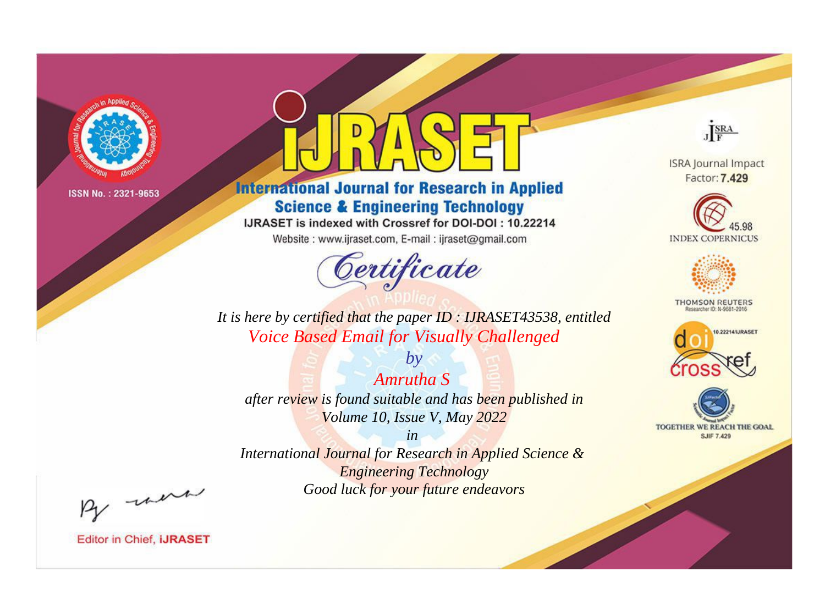

# **International Journal for Research in Applied Science & Engineering Technology**

IJRASET is indexed with Crossref for DOI-DOI: 10.22214

Website: www.ijraset.com, E-mail: ijraset@gmail.com



JERA

**ISRA Journal Impact** Factor: 7.429





**THOMSON REUTERS** 



TOGETHER WE REACH THE GOAL **SJIF 7.429** 

*It is here by certified that the paper ID : IJRASET43538, entitled Voice Based Email for Visually Challenged*

*Amrutha S after review is found suitable and has been published in Volume 10, Issue V, May 2022*

*by*

*in* 

*International Journal for Research in Applied Science & Engineering Technology Good luck for your future endeavors*

By morn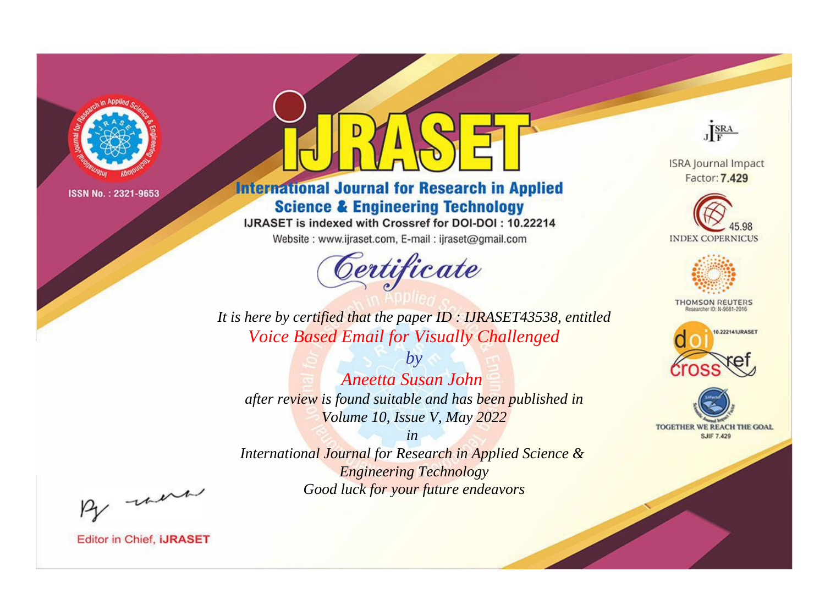

# **International Journal for Research in Applied Science & Engineering Technology**

IJRASET is indexed with Crossref for DOI-DOI: 10.22214

Website: www.ijraset.com, E-mail: ijraset@gmail.com



JERA

**ISRA Journal Impact** Factor: 7.429





**THOMSON REUTERS** 



TOGETHER WE REACH THE GOAL **SJIF 7.429** 

It is here by certified that the paper ID: IJRASET43538, entitled **Voice Based Email for Visually Challenged** 

 $b\nu$ Aneetta Susan John after review is found suitable and has been published in Volume 10, Issue V, May 2022

 $in$ International Journal for Research in Applied Science & **Engineering Technology** Good luck for your future endeavors

By morn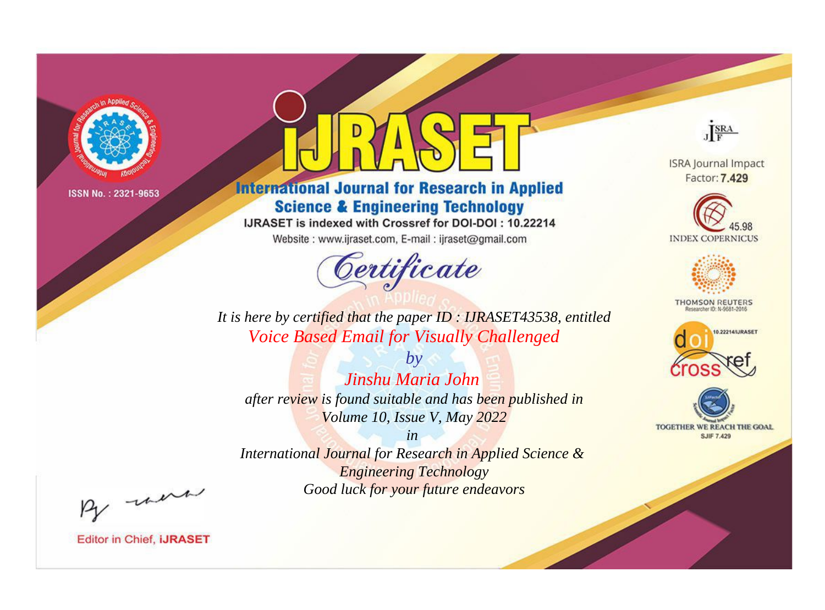

# **International Journal for Research in Applied Science & Engineering Technology**

IJRASET is indexed with Crossref for DOI-DOI: 10.22214

Website: www.ijraset.com, E-mail: ijraset@gmail.com



JERA

**ISRA Journal Impact** Factor: 7.429





**THOMSON REUTERS** 



TOGETHER WE REACH THE GOAL **SJIF 7.429** 

*It is here by certified that the paper ID : IJRASET43538, entitled Voice Based Email for Visually Challenged*

*by Jinshu Maria John after review is found suitable and has been published in Volume 10, Issue V, May 2022*

*in* 

*International Journal for Research in Applied Science & Engineering Technology Good luck for your future endeavors*

By morn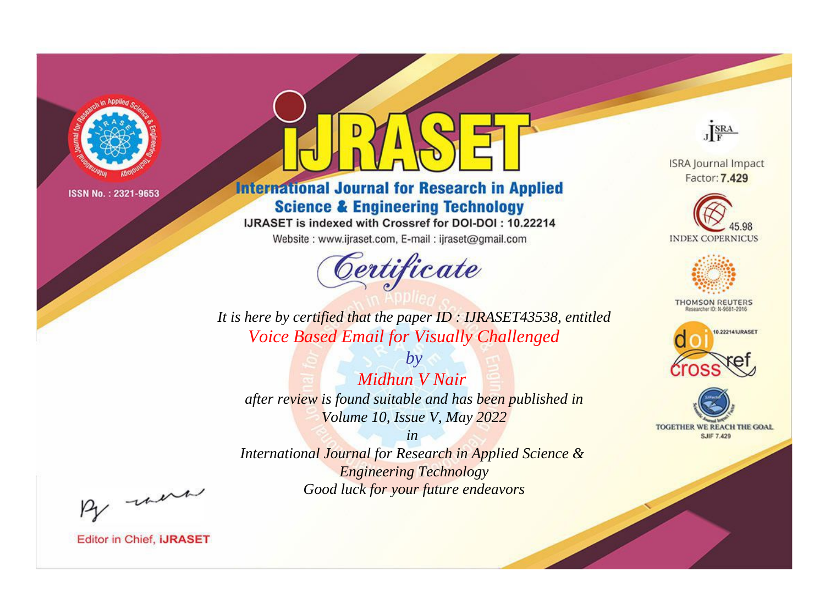

# **International Journal for Research in Applied Science & Engineering Technology**

IJRASET is indexed with Crossref for DOI-DOI: 10.22214

Website: www.ijraset.com, E-mail: ijraset@gmail.com



JERA

**ISRA Journal Impact** Factor: 7.429





**THOMSON REUTERS** 



TOGETHER WE REACH THE GOAL **SJIF 7.429** 

*It is here by certified that the paper ID : IJRASET43538, entitled Voice Based Email for Visually Challenged*

*Midhun V Nair after review is found suitable and has been published in Volume 10, Issue V, May 2022*

*by*

*in* 

*International Journal for Research in Applied Science & Engineering Technology Good luck for your future endeavors*

By morn